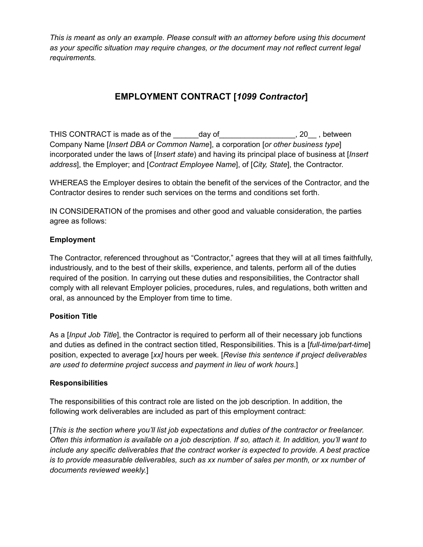# **EMPLOYMENT CONTRACT [***1099 Contractor***]**

THIS CONTRACT is made as of the \_\_\_\_\_\_day of \_\_\_\_\_\_\_\_\_\_\_\_\_\_\_\_\_, 20\_\_, between Company Name [*Insert DBA or Common Name*], a corporation [*or other business type*] incorporated under the laws of [*Insert state*) and having its principal place of business at [*Insert address*], the Employer; and [*Contract Employee Name*], of [*City, State*], the Contractor.

WHEREAS the Employer desires to obtain the benefit of the services of the Contractor, and the Contractor desires to render such services on the terms and conditions set forth.

IN CONSIDERATION of the promises and other good and valuable consideration, the parties agree as follows:

# **Employment**

The Contractor, referenced throughout as "Contractor," agrees that they will at all times faithfully, industriously, and to the best of their skills, experience, and talents, perform all of the duties required of the position. In carrying out these duties and responsibilities, the Contractor shall comply with all relevant Employer policies, procedures, rules, and regulations, both written and oral, as announced by the Employer from time to time.

#### **Position Title**

As a [*Input Job Title*], the Contractor is required to perform all of their necessary job functions and duties as defined in the contract section titled, Responsibilities. This is a [*full-time/part-time*] position, expected to average [*xx]* hours per week. [*Revise this sentence if project deliverables are used to determine project success and payment in lieu of work hours*.]

#### **Responsibilities**

The responsibilities of this contract role are listed on the job description. In addition, the following work deliverables are included as part of this employment contract:

[*This is the section where you'll list job expectations and duties of the contractor or freelancer. Often this information is available on a job description. If so, attach it. In addition, you'll want to include any specific deliverables that the contract worker is expected to provide. A best practice is to provide measurable deliverables, such as xx number of sales per month, or xx number of documents reviewed weekly.*]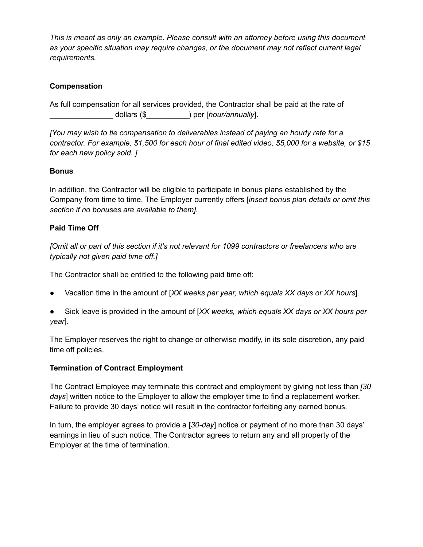# **Compensation**

As full compensation for all services provided, the Contractor shall be paid at the rate of \_\_\_\_\_\_\_\_\_\_\_\_\_\_\_ dollars (\$\_\_\_\_\_\_\_\_\_\_) per [*hour/annually*].

*[You may wish to tie compensation to deliverables instead of paying an hourly rate for a contractor. For example, \$1,500 for each hour of final edited video, \$5,000 for a website, or \$15 for each new policy sold. ]*

## **Bonus**

In addition, the Contractor will be eligible to participate in bonus plans established by the Company from time to time. The Employer currently offers [*insert bonus plan details or omit this section if no bonuses are available to them].*

## **Paid Time Off**

*[Omit all or part of this section if it's not relevant for 1099 contractors or freelancers who are typically not given paid time off.]*

The Contractor shall be entitled to the following paid time off:

- Vacation time in the amount of [*XX weeks per year, which equals XX days or XX hours*].
- Sick leave is provided in the amount of [*XX weeks, which equals XX days or XX hours per year*].

The Employer reserves the right to change or otherwise modify, in its sole discretion, any paid time off policies.

#### **Termination of Contract Employment**

The Contract Employee may terminate this contract and employment by giving not less than *[30 days*] written notice to the Employer to allow the employer time to find a replacement worker. Failure to provide 30 days' notice will result in the contractor forfeiting any earned bonus.

In turn, the employer agrees to provide a [*30-day*] notice or payment of no more than 30 days' earnings in lieu of such notice. The Contractor agrees to return any and all property of the Employer at the time of termination.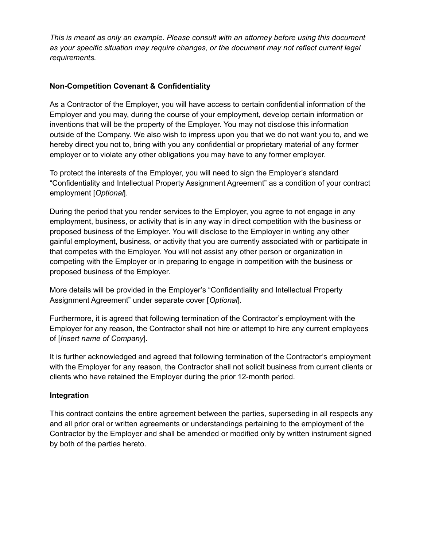# **Non-Competition Covenant & Confidentiality**

As a Contractor of the Employer, you will have access to certain confidential information of the Employer and you may, during the course of your employment, develop certain information or inventions that will be the property of the Employer. You may not disclose this information outside of the Company. We also wish to impress upon you that we do not want you to, and we hereby direct you not to, bring with you any confidential or proprietary material of any former employer or to violate any other obligations you may have to any former employer.

To protect the interests of the Employer, you will need to sign the Employer's standard "Confidentiality and Intellectual Property Assignment Agreement" as a condition of your contract employment [*Optional*].

During the period that you render services to the Employer, you agree to not engage in any employment, business, or activity that is in any way in direct competition with the business or proposed business of the Employer. You will disclose to the Employer in writing any other gainful employment, business, or activity that you are currently associated with or participate in that competes with the Employer. You will not assist any other person or organization in competing with the Employer or in preparing to engage in competition with the business or proposed business of the Employer.

More details will be provided in the Employer's "Confidentiality and Intellectual Property Assignment Agreement" under separate cover [*Optional*].

Furthermore, it is agreed that following termination of the Contractor's employment with the Employer for any reason, the Contractor shall not hire or attempt to hire any current employees of [*Insert name of Company*].

It is further acknowledged and agreed that following termination of the Contractor's employment with the Employer for any reason, the Contractor shall not solicit business from current clients or clients who have retained the Employer during the prior 12-month period.

#### **Integration**

This contract contains the entire agreement between the parties, superseding in all respects any and all prior oral or written agreements or understandings pertaining to the employment of the Contractor by the Employer and shall be amended or modified only by written instrument signed by both of the parties hereto.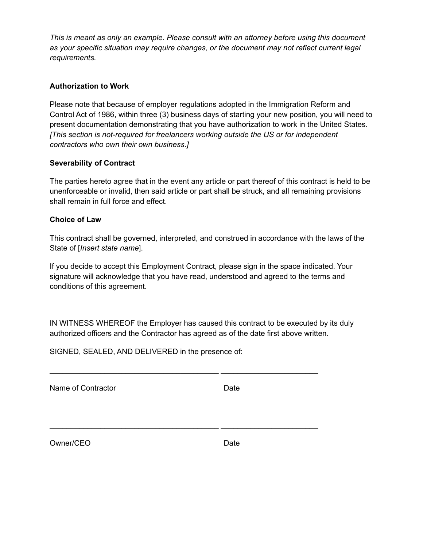#### **Authorization to Work**

Please note that because of employer regulations adopted in the Immigration Reform and Control Act of 1986, within three (3) business days of starting your new position, you will need to present documentation demonstrating that you have authorization to work in the United States. *[This section is not-required for freelancers working outside the US or for independent contractors who own their own business.]*

## **Severability of Contract**

The parties hereto agree that in the event any article or part thereof of this contract is held to be unenforceable or invalid, then said article or part shall be struck, and all remaining provisions shall remain in full force and effect.

#### **Choice of Law**

This contract shall be governed, interpreted, and construed in accordance with the laws of the State of [*Insert state name*].

If you decide to accept this Employment Contract, please sign in the space indicated. Your signature will acknowledge that you have read, understood and agreed to the terms and conditions of this agreement.

IN WITNESS WHEREOF the Employer has caused this contract to be executed by its duly authorized officers and the Contractor has agreed as of the date first above written.

\_\_\_\_\_\_\_\_\_\_\_\_\_\_\_\_\_\_\_\_\_\_\_\_\_\_\_\_\_\_\_\_\_\_\_\_\_\_\_\_ \_\_\_\_\_\_\_\_\_\_\_\_\_\_\_\_\_\_\_\_\_\_\_

\_\_\_\_\_\_\_\_\_\_\_\_\_\_\_\_\_\_\_\_\_\_\_\_\_\_\_\_\_\_\_\_\_\_\_\_\_\_\_\_ \_\_\_\_\_\_\_\_\_\_\_\_\_\_\_\_\_\_\_\_\_\_\_

SIGNED, SEALED, AND DELIVERED in the presence of:

Name of Contractor **Date** 

Owner/CEO Date Date